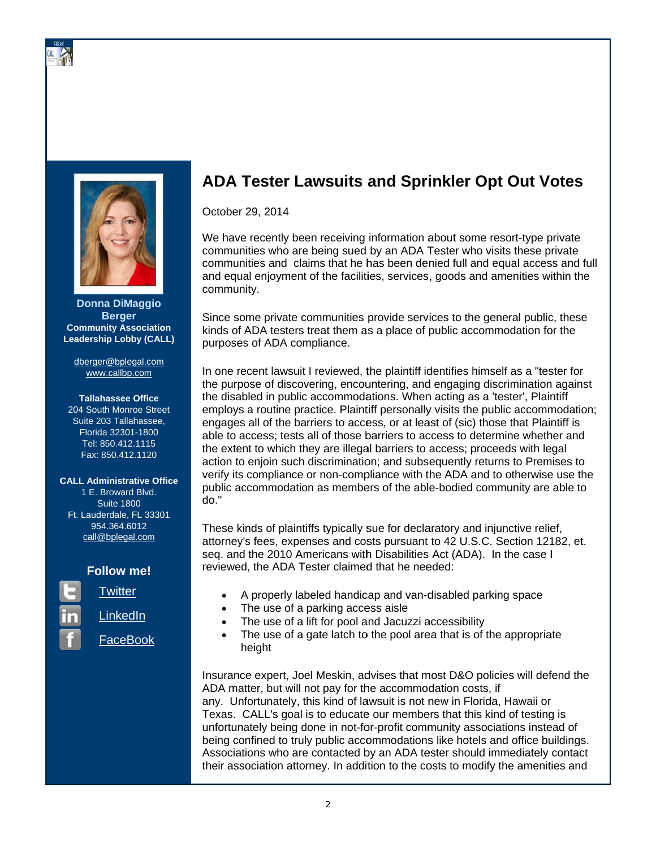

**Donna DiMaggio Berger Community Association Leadership Lobby (CALL)** 

dberger@bplegal.com www.callbp.com

#### **Tallahassee Office**

204 South Monroe Street Suite 203 Tallahassee. Florida 32301-1800 Tel: 850.412.1115 Fax: 850.412.1120

## **CALL Administrative Office**

1 E. Broward Blvd. **Suite 1800** Ft. Lauderdale, FL 33301 954.364.6012 call@bplegal.com

# **Follow me!**

**Twitter** 

LinkedIn

FaceBook



# **ADA Tester Lawsuits and Sprinkler Opt Out Votes**

October 29, 2014

We have recently been receiving information about some resort-type private communities who are being sued by an ADA Tester who visits these private communities and claims that he has been denied full and equal access and full and equal enjoyment of the facilities, services, goods and amenities within the community.

Since some private communities provide services to the general public, these kinds of ADA testers treat them as a place of public accommodation for the purposes of ADA compliance.

In one recent lawsuit I reviewed, the plaintiff identifies himself as a "tester for the purpose of discovering, encountering, and engaging discrimination against the disabled in public accommodations. When acting as a 'tester', Plaintiff employs a routine practice. Plaintiff personally visits the public accommodation; engages all of the barriers to access, or at least of (sic) those that Plaintiff is able to access; tests all of those barriers to access to determine whether and the extent to which they are illegal barriers to access; proceeds with legal action to enjoin such discrimination; and subsequently returns to Premises to verify its compliance or non-compliance with the ADA and to otherwise use the public accommodation as members of the able-bodied community are able to do."

These kinds of plaintiffs typically sue for declaratory and injunctive relief, attorney's fees, expenses and costs pursuant to 42 U.S.C. Section 12182, et. seq. and the 2010 Americans with Disabilities Act (ADA). In the case I reviewed, the ADA Tester claimed that he needed:

- A properly labeled handicap and van-disabled parking space  $\bullet$
- The use of a parking access aisle  $\bullet$
- The use of a lift for pool and Jacuzzi accessibility  $\bullet$
- The use of a gate latch to the pool area that is of the appropriate  $\bullet$ height

Insurance expert, Joel Meskin, advises that most D&O policies will defend the ADA matter, but will not pay for the accommodation costs, if any. Unfortunately, this kind of lawsuit is not new in Florida, Hawaii or Texas. CALL's goal is to educate our members that this kind of testing is unfortunately being done in not-for-profit community associations instead of being confined to truly public accommodations like hotels and office buildings. Associations who are contacted by an ADA tester should immediately contact their association attorney. In addition to the costs to modify the amenities and